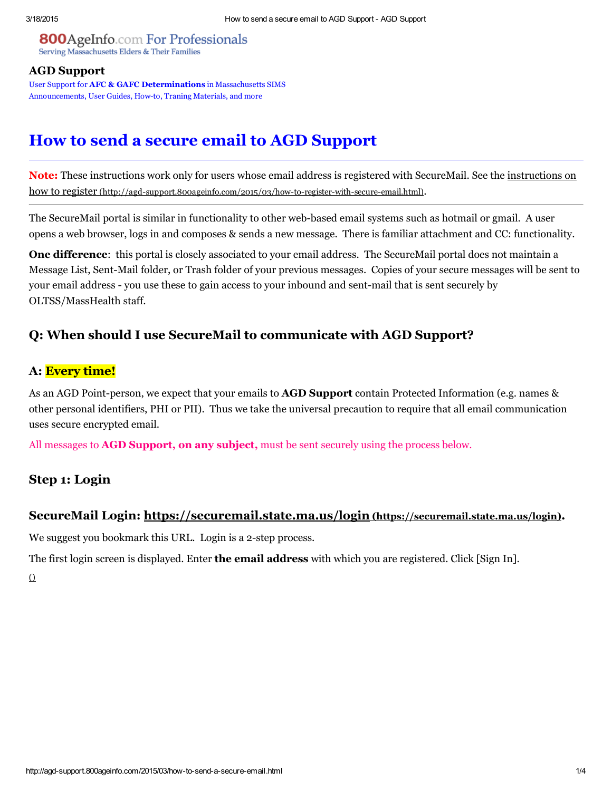#### **800**AgeInfo.com For Professionals Serving Massachusetts Elders & Their Families

#### AGD [Support](http://agd-support.800ageinfo.com/)

User Support for AFC & GAFC Determinations in Massachusetts SIMS Announcements, User Guides, How-to, Traning Materials, and more

# How to send a secure email to AGD Support

Note: These instructions work only for users whose email address is registered with SecureMail. See the instructions on how to register (http://agd-support.800ageinfo.com/2015/03/how-to-register-with-secure-email.html).

The SecureMail portal is similar in functionality to other web-based email systems such as hotmail or gmail. A user opens a web browser, logs in and composes & sends a new message. There is familiar attachment and CC: functionality.

One difference: this portal is closely associated to your email address. The SecureMail portal does not maintain a Message List, Sent-Mail folder, or Trash folder of your previous messages. Copies of your secure messages will be sent to your email address - you use these to gain access to your inbound and sent-mail that is sent securely by OLTSS/MassHealth staff.

### Q: When should I use SecureMail to communicate with AGD Support?

#### A: Every time!

As an AGD Point-person, we expect that your emails to **AGD Support** contain Protected Information (e.g. names & other personal identifiers, PHI or PII). Thus we take the universal precaution to require that all email communication uses secure encrypted email.

All messages to **AGD Support, on any subject**, must be sent securely using the process below.

## Step 1: Login

#### SecureMail Login: <https://securemail.state.ma.us/login> (https://securemail.state.ma.us/login).

We suggest you bookmark this URL. Login is a 2-step process.

The first login screen is displayed. Enter **the email address** with which you are registered. Click [Sign In].

 $\Omega$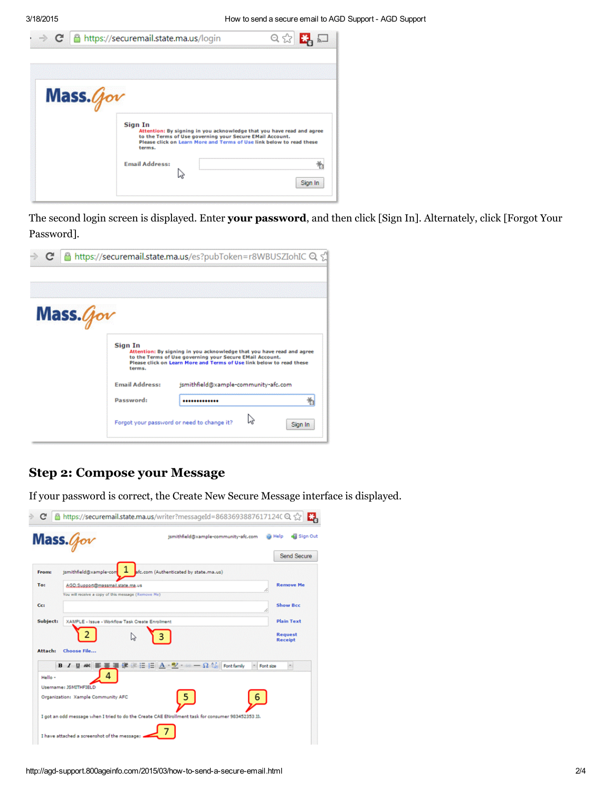

The second login screen is displayed. Enter your password, and then click [Sign In]. Alternately, click [Forgot Your Password].



### Step 2: Compose your Message

If your password is correct, the Create New Secure Message interface is displayed.

|              | jsmithfield@xample-community-afc.com<br>$Mass.$ <i>(jov</i>                                              | Sign Out<br>Help                 |
|--------------|----------------------------------------------------------------------------------------------------------|----------------------------------|
|              |                                                                                                          | Send Secure                      |
| <b>From:</b> | jsmithfield@xample-com<br>afc.com (Authenticated by state.ma.us)                                         |                                  |
| To:          | AGD.Support@massmail.state.ma.us                                                                         | <b>Remove Me</b>                 |
|              | You will receive a copy of this message (Remove Me)                                                      |                                  |
| Cc:          |                                                                                                          | <b>Show Bcc</b>                  |
| Subject:     | XAMPLE - Issue - Workflow Task Create Enrollment                                                         | <b>Plain Text</b>                |
| Attach:      | <b>Choose File</b>                                                                                       | <b>Request</b><br><b>Receipt</b> |
| Hello -      | $\mathbb{R}^2 = \Omega$ C.S. Font family<br>U AK 断著理律律任任 A · ツ·<br>$B$ $I$<br>Δ<br>Username: JSMITHFIELD | Font size<br>$\sim$              |
|              | Organization: Xample Community AFC<br>b                                                                  |                                  |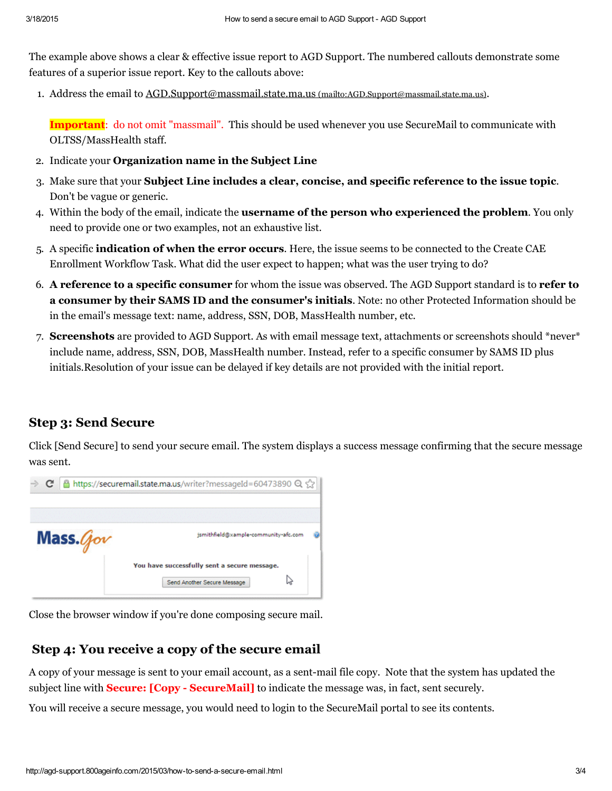The example above shows a clear & effective issue report to AGD Support. The numbered callouts demonstrate some features of a superior issue report. Key to the callouts above:

1. Address the email to **[AGD.Support@massmail.state.ma.us](mailto:AGD.Support@massmail.state.ma.us)** (mailto:AGD.Support@massmail.state.ma.us).

Important: do not omit "massmail". This should be used whenever you use SecureMail to communicate with OLTSS/MassHealth staff.

- 2. Indicate your Organization name in the Subject Line
- 3. Make sure that your Subject Line includes a clear, concise, and specific reference to the issue topic. Don't be vague or generic.
- 4. Within the body of the email, indicate the username of the person who experienced the problem. You only need to provide one or two examples, not an exhaustive list.
- 5. A specific indication of when the error occurs. Here, the issue seems to be connected to the Create CAE Enrollment Workflow Task. What did the user expect to happen; what was the user trying to do?
- 6. A reference to a specific consumer for whom the issue was observed. The AGD Support standard is to refer to a consumer by their SAMS ID and the consumer's initials. Note: no other Protected Information should be in the email's message text: name, address, SSN, DOB, MassHealth number, etc.
- 7. Screenshots are provided to AGD Support. As with email message text, attachments or screenshots should \*never\* include name, address, SSN, DOB, MassHealth number. Instead, refer to a specific consumer by SAMS ID plus initials.Resolution of your issue can be delayed if key details are not provided with the initial report.

### Step 3: Send Secure

Click [Send Secure] to send your secure email. The system displays a success message confirming that the secure message was sent.



Close the browser window if you're done composing secure mail.

### Step 4: You receive a copy of the secure email

A copy of your message is sent to your email account, as a sent-mail file copy. Note that the system has updated the subject line with **Secure: [Copy - SecureMail]** to indicate the message was, in fact, sent securely.

You will receive a secure message, you would need to login to the SecureMail portal to see its contents.